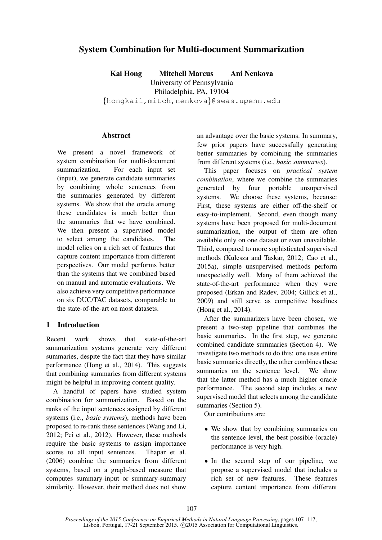# System Combination for Multi-document Summarization

Kai Hong Mitchell Marcus Ani Nenkova University of Pennsylvania

Philadelphia, PA, 19104

{hongkai1,mitch,nenkova}@seas.upenn.edu

### Abstract

We present a novel framework of system combination for multi-document summarization. For each input set (input), we generate candidate summaries by combining whole sentences from the summaries generated by different systems. We show that the oracle among these candidates is much better than the summaries that we have combined. We then present a supervised model to select among the candidates. The model relies on a rich set of features that capture content importance from different perspectives. Our model performs better than the systems that we combined based on manual and automatic evaluations. We also achieve very competitive performance on six DUC/TAC datasets, comparable to the state-of-the-art on most datasets.

## 1 Introduction

Recent work shows that state-of-the-art summarization systems generate very different summaries, despite the fact that they have similar performance (Hong et al., 2014). This suggests that combining summaries from different systems might be helpful in improving content quality.

A handful of papers have studied system combination for summarization. Based on the ranks of the input sentences assigned by different systems (i.e., *basic systems*), methods have been proposed to re-rank these sentences (Wang and Li, 2012; Pei et al., 2012). However, these methods require the basic systems to assign importance scores to all input sentences. Thapar et al. (2006) combine the summaries from different systems, based on a graph-based measure that computes summary-input or summary-summary similarity. However, their method does not show an advantage over the basic systems. In summary, few prior papers have successfully generating better summaries by combining the summaries from different systems (i.e., *basic summaries*).

This paper focuses on *practical system combination*, where we combine the summaries generated by four portable unsupervised systems. We choose these systems, because: First, these systems are either off-the-shelf or easy-to-implement. Second, even though many systems have been proposed for multi-document summarization, the output of them are often available only on one dataset or even unavailable. Third, compared to more sophisticated supervised methods (Kulesza and Taskar, 2012; Cao et al., 2015a), simple unsupervised methods perform unexpectedly well. Many of them achieved the state-of-the-art performance when they were proposed (Erkan and Radev, 2004; Gillick et al., 2009) and still serve as competitive baselines (Hong et al., 2014).

After the summarizers have been chosen, we present a two-step pipeline that combines the basic summaries. In the first step, we generate combined candidate summaries (Section 4). We investigate two methods to do this: one uses entire basic summaries directly, the other combines these summaries on the sentence level. We show that the latter method has a much higher oracle performance. The second step includes a new supervised model that selects among the candidate summaries (Section 5).

Our contributions are:

- We show that by combining summaries on the sentence level, the best possible (oracle) performance is very high.
- In the second step of our pipeline, we propose a supervised model that includes a rich set of new features. These features capture content importance from different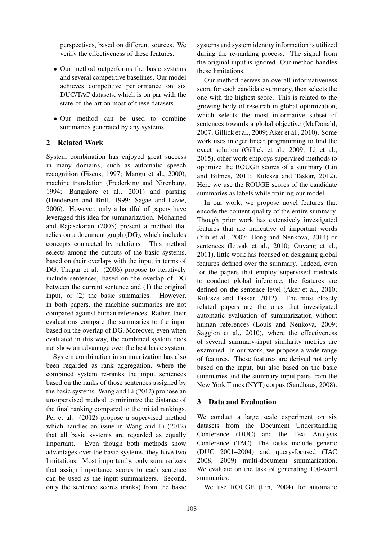perspectives, based on different sources. We verify the effectiveness of these features.

- Our method outperforms the basic systems and several competitive baselines. Our model achieves competitive performance on six DUC/TAC datasets, which is on par with the state-of-the-art on most of these datasets.
- Our method can be used to combine summaries generated by any systems.

## 2 Related Work

System combination has enjoyed great success in many domains, such as automatic speech recognition (Fiscus, 1997; Mangu et al., 2000), machine translation (Frederking and Nirenburg, 1994; Bangalore et al., 2001) and parsing (Henderson and Brill, 1999; Sagae and Lavie, 2006). However, only a handful of papers have leveraged this idea for summarization. Mohamed and Rajasekaran (2005) present a method that relies on a document graph (DG), which includes concepts connected by relations. This method selects among the outputs of the basic systems, based on their overlaps with the input in terms of DG. Thapar et al. (2006) propose to iteratively include sentences, based on the overlap of DG between the current sentence and (1) the original input, or (2) the basic summaries. However, in both papers, the machine summaries are not compared against human references. Rather, their evaluations compare the summaries to the input based on the overlap of DG. Moreover, even when evaluated in this way, the combined system does not show an advantage over the best basic system.

System combination in summarization has also been regarded as rank aggregation, where the combined system re-ranks the input sentences based on the ranks of those sentences assigned by the basic systems. Wang and Li (2012) propose an unsupervised method to minimize the distance of the final ranking compared to the initial rankings. Pei et al. (2012) propose a supervised method which handles an issue in Wang and Li (2012) that all basic systems are regarded as equally important. Even though both methods show advantages over the basic systems, they have two limitations. Most importantly, only summarizers that assign importance scores to each sentence can be used as the input summarizers. Second, only the sentence scores (ranks) from the basic

systems and system identity information is utilized during the re-ranking process. The signal from the original input is ignored. Our method handles these limitations.

Our method derives an overall informativeness score for each candidate summary, then selects the one with the highest score. This is related to the growing body of research in global optimization, which selects the most informative subset of sentences towards a global objective (McDonald, 2007; Gillick et al., 2009; Aker et al., 2010). Some work uses integer linear programming to find the exact solution (Gillick et al., 2009; Li et al., 2015), other work employs supervised methods to optimize the ROUGE scores of a summary (Lin and Bilmes, 2011; Kulesza and Taskar, 2012). Here we use the ROUGE scores of the candidate summaries as labels while training our model.

In our work, we propose novel features that encode the content quality of the entire summary. Though prior work has extensively investigated features that are indicative of important words (Yih et al., 2007; Hong and Nenkova, 2014) or sentences (Litvak et al., 2010; Ouyang et al., 2011), little work has focused on designing global features defined over the summary. Indeed, even for the papers that employ supervised methods to conduct global inference, the features are defined on the sentence level (Aker et al., 2010; Kulesza and Taskar, 2012). The most closely related papers are the ones that investigated automatic evaluation of summarization without human references (Louis and Nenkova, 2009; Saggion et al., 2010), where the effectiveness of several summary-input similarity metrics are examined. In our work, we propose a wide range of features. These features are derived not only based on the input, but also based on the basic summaries and the summary-input pairs from the New York Times (NYT) corpus (Sandhaus, 2008).

### 3 Data and Evaluation

We conduct a large scale experiment on six datasets from the Document Understanding Conference (DUC) and the Text Analysis Conference (TAC). The tasks include generic (DUC 2001–2004) and query-focused (TAC 2008, 2009) multi-document summarization. We evaluate on the task of generating 100-word summaries.

We use ROUGE (Lin, 2004) for automatic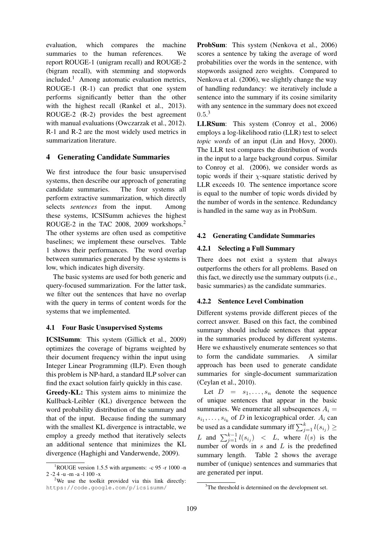evaluation, which compares the machine summaries to the human references. We report ROUGE-1 (unigram recall) and ROUGE-2 (bigram recall), with stemming and stopwords included.<sup>1</sup> Among automatic evaluation metrics, ROUGE-1 (R-1) can predict that one system performs significantly better than the other with the highest recall (Rankel et al., 2013). ROUGE-2 (R-2) provides the best agreement with manual evaluations (Owczarzak et al., 2012). R-1 and R-2 are the most widely used metrics in summarization literature.

## 4 Generating Candidate Summaries

We first introduce the four basic unsupervised systems, then describe our approach of generating candidate summaries. The four systems all perform extractive summarization, which directly selects *sentences* from the input. Among these systems, ICSISumm achieves the highest ROUGE-2 in the TAC 2008, 2009 workshops.<sup>2</sup> The other systems are often used as competitive baselines; we implement these ourselves. Table 1 shows their performances. The word overlap between summaries generated by these systems is low, which indicates high diversity.

The basic systems are used for both generic and query-focused summarization. For the latter task, we filter out the sentences that have no overlap with the query in terms of content words for the systems that we implemented.

### 4.1 Four Basic Unsupervised Systems

ICSISumm: This system (Gillick et al., 2009) optimizes the coverage of bigrams weighted by their document frequency within the input using Integer Linear Programming (ILP). Even though this problem is NP-hard, a standard ILP solver can find the exact solution fairly quickly in this case.

Greedy-KL: This system aims to minimize the Kullback-Leibler (KL) divergence between the word probability distribution of the summary and that of the input. Because finding the summary with the smallest KL divergence is intractable, we employ a greedy method that iteratively selects an additional sentence that minimizes the KL divergence (Haghighi and Vanderwende, 2009).

ProbSum: This system (Nenkova et al., 2006) scores a sentence by taking the average of word probabilities over the words in the sentence, with stopwords assigned zero weights. Compared to Nenkova et al. (2006), we slightly change the way of handling redundancy: we iteratively include a sentence into the summary if its cosine similarity with any sentence in the summary does not exceed  $0.5.^3$ 

LLRSum: This system (Conroy et al., 2006) employs a log-likelihood ratio (LLR) test to select *topic words* of an input (Lin and Hovy, 2000). The LLR test compares the distribution of words in the input to a large background corpus. Similar to Conroy et al. (2006), we consider words as topic words if their  $\chi$ -square statistic derived by LLR exceeds 10. The sentence importance score is equal to the number of topic words divided by the number of words in the sentence. Redundancy is handled in the same way as in ProbSum.

## 4.2 Generating Candidate Summaries

## 4.2.1 Selecting a Full Summary

There does not exist a system that always outperforms the others for all problems. Based on this fact, we directly use the summary outputs (i.e., basic summaries) as the candidate summaries.

## 4.2.2 Sentence Level Combination

Different systems provide different pieces of the correct answer. Based on this fact, the combined summary should include sentences that appear in the summaries produced by different systems. Here we exhaustively enumerate sentences so that to form the candidate summaries. A similar approach has been used to generate candidate summaries for single-document summarization (Ceylan et al., 2010).

Let  $D = s_1, \ldots, s_n$  denote the sequence of unique sentences that appear in the basic summaries. We enumerate all subsequences  $A_i =$  $s_{i_1}, \ldots, s_{i_k}$  of D in lexicographical order.  $A_i$  can be used as a candidate summary iff  $\sum_{j=1}^{k} l(s_{i_j}) \geq$ L and  $\sum_{j=1}^{k-1} l(s_{i_j})$  < L, where  $l(s)$  is the number of words in  $s$  and  $L$  is the predefined summary length. Table 2 shows the average number of (unique) sentences and summaries that are generated per input.

<sup>1</sup>ROUGE version 1.5.5 with arguments: -c 95 -r 1000 -n 2 -2 4 -u -m -a -l 100 -x

<sup>&</sup>lt;sup>2</sup>We use the toolkit provided via this link directly: https://code.google.com/p/icsisumm/

<sup>&</sup>lt;sup>3</sup>The threshold is determined on the development set.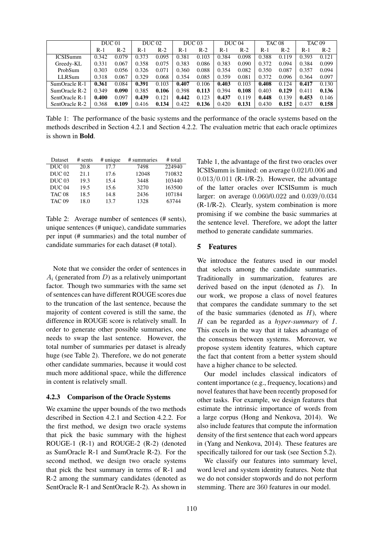|                 | <b>DUC</b> 01 |       | <b>DUC</b> 02 |       | DUC <sub>03</sub> |       | DUC <sub>04</sub> |       | TAC <sub>08</sub> |       | <b>TAC 09</b> |       |
|-----------------|---------------|-------|---------------|-------|-------------------|-------|-------------------|-------|-------------------|-------|---------------|-------|
|                 | $R-1$         | $R-2$ | R-1           | $R-2$ | $R-1$             | $R-2$ | $R-1$             | $R-2$ | R-1               | $R-2$ | R-1           | $R-2$ |
| <b>ICSISumm</b> | 0.342         | 0.079 | 0.373         | 0.095 | 0.381             | 0.103 | 0.384             | 0.098 | 0.388             | 0.119 | 0.393         | 0.121 |
| Greedy-KL       | 0.331         | 0.067 | 0.358         | 0.075 | 0.383             | 0.086 | 0.383             | 0.090 | 0.372             | 0.094 | 0.384         | 0.099 |
| ProbSum         | 0.303         | 0.056 | 0.326         | 0.071 | 0.360             | 0.088 | 0.354             | 0.082 | 0.350             | 0.087 | 0.357         | 0.094 |
| LLRSum          | 0.318         | 0.067 | 0.329         | 0.068 | 0.354             | 0.085 | 0.359             | 0.081 | 0.372             | 0.096 | 0.364         | 0.097 |
| SumOracle R-1   | 0.361         | 0.084 | 0.391         | 0.103 | 0.407             | 0.106 | 0.403             | 0.103 | 0.408             | 0.124 | 0.417         | 0.130 |
| SumOracle R-2   | 0.349         | 0.090 | 0.385         | 0.106 | 0.398             | 0.113 | 0.394             | 0.108 | 0.403             | 0.129 | 0.411         | 0.136 |
| SentOracle R-1  | 0.400         | 0.097 | 0.439         | 0.121 | 0.442             | 0.123 | 0.437             | 0.119 | 0.448             | 0.139 | 0.453         | 0.146 |
| SentOracle R-2  | 0.368         | 0.109 | 0.416         | 0.134 | 0.422             | 0.136 | 0.420             | 0.131 | 0.430             | 0.152 | 0.437         | 0.158 |

Table 1: The performance of the basic systems and the performance of the oracle systems based on the methods described in Section 4.2.1 and Section 4.2.2. The evaluation metric that each oracle optimizes is shown in Bold.

| Dataset           | $#$ sents | $#$ unique | # summaries | # total |
|-------------------|-----------|------------|-------------|---------|
| DUC <sub>01</sub> | 20.8      | 17.7       | 7498        | 224940  |
| DUC 02            | 21.1      | 17.6       | 12048       | 710832  |
| DUC <sub>03</sub> | 19.3      | 15.4       | 3448        | 103440  |
| DUC <sub>04</sub> | 19.5      | 15.6       | 3270        | 163500  |
| <b>TAC 08</b>     | 18.5      | 14.8       | 2436        | 107184  |
| <b>TAC 09</b>     | 18.0      | 13.7       | 1328        | 63744   |

Table 2: Average number of sentences (# sents), unique sentences (# unique), candidate summaries per input (# summaries) and the total number of candidate summaries for each dataset (# total).

Note that we consider the order of sentences in  $A_i$  (generated from  $D$ ) as a relatively unimportant factor. Though two summaries with the same set of sentences can have different ROUGE scores due to the truncation of the last sentence, because the majority of content covered is still the same, the difference in ROUGE score is relatively small. In order to generate other possible summaries, one needs to swap the last sentence. However, the total number of summaries per dataset is already huge (see Table 2). Therefore, we do not generate other candidate summaries, because it would cost much more additional space, while the difference in content is relatively small.

#### 4.2.3 Comparison of the Oracle Systems

We examine the upper bounds of the two methods described in Section 4.2.1 and Section 4.2.2. For the first method, we design two oracle systems that pick the basic summary with the highest ROUGE-1 (R-1) and ROUGE-2 (R-2) (denoted as SumOracle R-1 and SumOracle R-2). For the second method, we design two oracle systems that pick the best summary in terms of R-1 and R-2 among the summary candidates (denoted as SentOracle R-1 and SentOracle R-2). As shown in

Table 1, the advantage of the first two oracles over ICSISumm is limited: on average 0.021/0.006 and  $0.013/0.011$  (R-1/R-2). However, the advantage of the latter oracles over ICSISumm is much larger: on average 0.060/0.022 and 0.039/0.034 (R-1/R-2). Clearly, system combination is more promising if we combine the basic summaries at the sentence level. Therefore, we adopt the latter method to generate candidate summaries.

#### 5 Features

We introduce the features used in our model that selects among the candidate summaries. Traditionally in summarization, features are derived based on the input (denoted as  $I$ ). In our work, we propose a class of novel features that compares the candidate summary to the set of the basic summaries (denoted as  $H$ ), where H can be regarded as a *hyper-summary* of I. This excels in the way that it takes advantage of the consensus between systems. Moreover, we propose system identity features, which capture the fact that content from a better system should have a higher chance to be selected.

Our model includes classical indicators of content importance (e.g., frequency, locations) and novel features that have been recently proposed for other tasks. For example, we design features that estimate the intrinsic importance of words from a large corpus (Hong and Nenkova, 2014). We also include features that compute the information density of the first sentence that each word appears in (Yang and Nenkova, 2014). These features are specifically tailored for our task (see Section 5.2).

We classify our features into summary level, word level and system identity features. Note that we do not consider stopwords and do not perform stemming. There are 360 features in our model.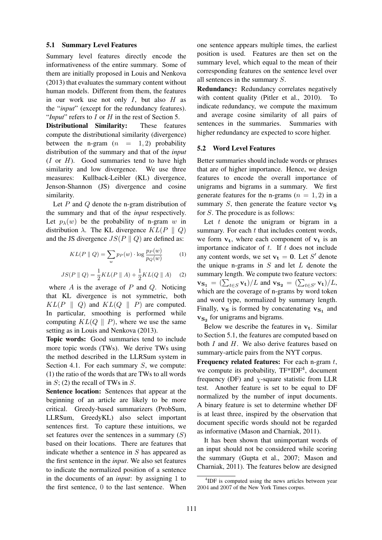#### 5.1 Summary Level Features

Summary level features directly encode the informativeness of the entire summary. Some of them are initially proposed in Louis and Nenkova (2013) that evaluates the summary content without human models. Different from them, the features in our work use not only  $I$ , but also  $H$  as the "*input*" (except for the redundancy features). "*Input*" refers to I or H in the rest of Section 5.

Distributional Similarity: These features compute the distributional similarity (divergence) between the n-gram  $(n = 1, 2)$  probability distribution of the summary and that of the *input*  $(I \text{ or } H)$ . Good summaries tend to have high similarity and low divergence. We use three measures: Kullback-Leibler (KL) divergence, Jenson-Shannon (JS) divergence and cosine similarity.

Let  $P$  and  $Q$  denote the n-gram distribution of the summary and that of the *input* respectively. Let  $p_{\lambda}(w)$  be the probability of n-gram w in distribution  $\lambda$ . The KL divergence  $KL(P \parallel Q)$ and the JS divergence  $JS(P \parallel Q)$  are defined as:

$$
KL(P \parallel Q) = \sum_{w} p_P(w) \cdot \log \frac{p_P(w)}{p_Q(w)} \tag{1}
$$

$$
JS(P \| Q) = \frac{1}{2} KL(P \| A) + \frac{1}{2} KL(Q \| A) \quad (2)
$$

where  $A$  is the average of  $P$  and  $Q$ . Noticing that KL divergence is not symmetric, both  $KL(P \parallel Q)$  and  $KL(Q \parallel P)$  are computed. In particular, smoothing is performed while computing  $KL(Q \parallel P)$ , where we use the same setting as in Louis and Nenkova (2013).

Topic words: Good summaries tend to include more topic words (TWs). We derive TWs using the method described in the LLRSum system in Section 4.1. For each summary  $S$ , we compute: (1) the ratio of the words that are TWs to all words in  $S$ ; (2) the recall of TWs in  $S$ .

Sentence location: Sentences that appear at the beginning of an article are likely to be more critical. Greedy-based summarizers (ProbSum, LLRSum, GreedyKL) also select important sentences first. To capture these intuitions, we set features over the sentences in a summary  $(S)$ based on their locations. There are features that indicate whether a sentence in S has appeared as the first sentence in the *input*. We also set features to indicate the normalized position of a sentence in the documents of an *input*: by assigning 1 to the first sentence, 0 to the last sentence. When one sentence appears multiple times, the earliest position is used. Features are then set on the summary level, which equal to the mean of their corresponding features on the sentence level over all sentences in the summary S.

Redundancy: Redundancy correlates negatively with content quality (Pitler et al., 2010). To indicate redundancy, we compute the maximum and average cosine similarity of all pairs of sentences in the summaries. Summaries with higher redundancy are expected to score higher.

#### 5.2 Word Level Features

Better summaries should include words or phrases that are of higher importance. Hence, we design features to encode the overall importance of unigrams and bigrams in a summary. We first generate features for the n-grams  $(n = 1, 2)$  in a summary  $S$ , then generate the feature vector  $\mathbf{v}_\mathbf{S}$ for S. The procedure is as follows:

Let  $t$  denote the unigram or bigram in a summary. For each  $t$  that includes content words, we form  $v_t$ , where each component of  $v_t$  is an importance indicator of  $t$ . If  $t$  does not include any content words, we set  $v_t = 0$ . Let S' denote the unique n-grams in  $S$  and let  $L$  denote the summary length. We compute two feature vectors:  $\mathbf{v}_{\mathbf{S_1}} = (\sum_{t \in S} \mathbf{v_t})/L$  and  $\mathbf{v}_{\mathbf{S_2}} = (\sum_{t \in S'} \mathbf{v_t})/L$ , which are the coverage of n-grams by word token and word type, normalized by summary length. Finally,  $v_S$  is formed by concatenating  $v_{S_1}$  and  $\mathbf{v}_{\mathbf{S_2}}$  for unigrams and bigrams.

Below we describe the features in  $v_t$ . Similar to Section 5.1, the features are computed based on both  $I$  and  $H$ . We also derive features based on summary-article pairs from the NYT corpus.

**Frequency related features:** For each n-gram  $t$ , we compute its probability, TF\*IDF<sup>4</sup>, document frequency (DF) and  $\chi$ -square statistic from LLR test. Another feature is set to be equal to DF normalized by the number of input documents. A binary feature is set to determine whether DF is at least three, inspired by the observation that document specific words should not be regarded as informative (Mason and Charniak, 2011).

It has been shown that unimportant words of an input should not be considered while scoring the summary (Gupta et al., 2007; Mason and Charniak, 2011). The features below are designed

<sup>&</sup>lt;sup>4</sup>IDF is computed using the news articles between year 2004 and 2007 of the New York Times corpus.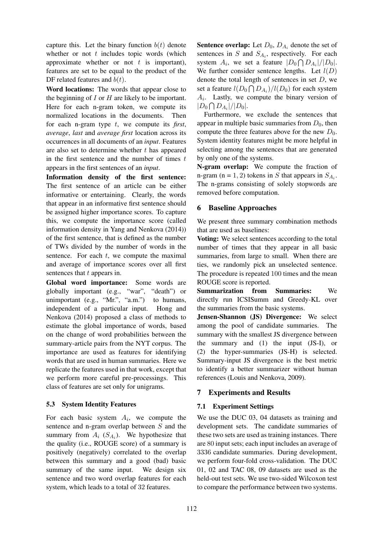capture this. Let the binary function  $b(t)$  denote whether or not  $t$  includes topic words (which approximate whether or not  $t$  is important), features are set to be equal to the product of the DF related features and  $b(t)$ .

Word locations: The words that appear close to the beginning of  $I$  or  $H$  are likely to be important. Here for each n-gram token, we compute its normalized locations in the documents. Then for each n-gram type t, we compute its *first*, *average*, *last* and *average first* location across its occurrences in all documents of an *input*. Features are also set to determine whether  $t$  has appeared in the first sentence and the number of times  $t$ appears in the first sentences of an *input*.

Information density of the first sentence: The first sentence of an article can be either informative or entertaining. Clearly, the words that appear in an informative first sentence should be assigned higher importance scores. To capture this, we compute the importance score (called information density in Yang and Nenkova (2014)) of the first sentence, that is defined as the number of TWs divided by the number of words in the sentence. For each  $t$ , we compute the maximal and average of importance scores over all first sentences that t appears in.

Global word importance: Some words are globally important (e.g., "war", "death") or unimportant  $(e.g., "Mr", "a.m.")$  to humans, independent of a particular input. Hong and Nenkova (2014) proposed a class of methods to estimate the global importance of words, based on the change of word probabilities between the summary-article pairs from the NYT corpus. The importance are used as features for identifying words that are used in human summaries. Here we replicate the features used in that work, except that we perform more careful pre-processings. This class of features are set only for unigrams.

### 5.3 System Identity Features

For each basic system  $A_i$ , we compute the sentence and n-gram overlap between S and the summary from  $A_i$  ( $S_{A_i}$ ). We hypothesize that the quality (i.e., ROUGE score) of a summary is positively (negatively) correlated to the overlap between this summary and a good (bad) basic summary of the same input. We design six sentence and two word overlap features for each system, which leads to a total of 32 features.

**Sentence overlap:** Let  $D_0$ ,  $D_{A_i}$  denote the set of sentences in  $S$  and  $S_{A_i}$ , respectively. For each system  $A_i$ , we set a feature  $|D_0 \bigcap D_{A_i}|/|D_0|$ . We further consider sentence lengths. Let  $l(D)$ denote the total length of sentences in set  $D$ , we set a feature  $l(D_0 \bigcap D_{A_i})/l(D_0)$  for each system  $A_i$ . Lastly, we compute the binary version of  $|D_0 \bigcap D_{A_i}|/|D_0|.$ 

Furthermore, we exclude the sentences that appear in multiple basic summaries from  $D_0$ , then compute the three features above for the new  $D_0$ . System identity features might be more helpful in selecting among the sentences that are generated by only one of the systems.

N-gram overlap: We compute the fraction of n-gram (n = 1, 2) tokens in S that appears in  $S_{A_i}$ . The n-grams consisting of solely stopwords are removed before computation.

## 6 Baseline Approaches

We present three summary combination methods that are used as baselines:

Voting: We select sentences according to the total number of times that they appear in all basic summaries, from large to small. When there are ties, we randomly pick an unselected sentence. The procedure is repeated 100 times and the mean ROUGE score is reported.

Summarization from Summaries: We directly run ICSISumm and Greedy-KL over the summaries from the basic systems.

Jensen-Shannon (JS) Divergence: We select among the pool of candidate summaries. The summary with the smallest JS divergence between the summary and (1) the input (JS-I), or (2) the hyper-summaries (JS-H) is selected. Summary-input JS divergence is the best metric to identify a better summarizer without human references (Louis and Nenkova, 2009).

## 7 Experiments and Results

## 7.1 Experiment Settings

We use the DUC 03, 04 datasets as training and development sets. The candidate summaries of these two sets are used as training instances. There are 80 input sets; each input includes an average of 3336 candidate summaries. During development, we perform four-fold cross-validation. The DUC 01, 02 and TAC 08, 09 datasets are used as the held-out test sets. We use two-sided Wilcoxon test to compare the performance between two systems.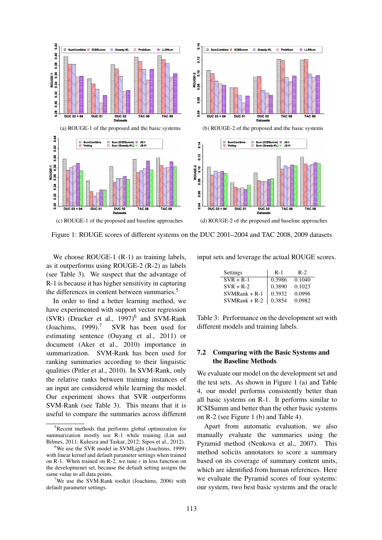

Figure 1: ROUGE scores of different systems on the DUC 2001–2004 and TAC 2008, 2009 datasets

We choose ROUGE-1 (R-1) as training labels, as it outperforms using ROUGE-2 (R-2) as labels (see Table 3). We suspect that the advantage of R-1 is because it has higher sensitivity in capturing the differences in content between summaries.<sup>5</sup>

In order to find a better learning method, we have experimented with support vector regression  $(SVR)$  (Drucker et al., 1997)<sup>6</sup> and SVM-Rank (Joachims, 1999).<sup>7</sup> SVR has been used for estimating sentence (Ouyang et al., 2011) or document (Aker et al., 2010) importance in summarization. SVM-Rank has been used for ranking summaries according to their linguistic qualities (Pitler et al., 2010). In SVM-Rank, only the relative ranks between training instances of an input are considered while learning the model. Our experiment shows that SVR outperforms SVM-Rank (see Table 3). This means that it is useful to compare the summaries across different

input sets and leverage the actual ROUGE scores.

| Settings        | $R-1$  | $R-2$  |
|-----------------|--------|--------|
| $SVR + R-1$     | 0.3986 | 0.1040 |
| $SVR + R-2$     | 0.3890 | 0.1023 |
| $SVMRank + R-1$ | 0.3932 | 0.0996 |
| $SVMRank + R-2$ | 0.3854 | 0.0982 |

Table 3: Performance on the development set with different models and training labels.

### 7.2 Comparing with the Basic Systems and the Baseline Methods

We evaluate our model on the development set and the test sets. As shown in Figure 1 (a) and Table 4, our model performs consistently better than all basic systems on R-1. It performs similar to ICSISumm and better than the other basic systems on R-2 (see Figure 1 (b) and Table 4).

Apart from automatic evaluation, we also manually evaluate the summaries using the Pyramid method (Nenkova et al., 2007). This method solicits annotators to score a summary based on its coverage of summary content units, which are identified from human references. Here we evaluate the Pyramid scores of four systems: our system, two best basic systems and the oracle

<sup>&</sup>lt;sup>5</sup>Recent methods that performs global optimization for summarization mostly use R-1 while training (Lin and Bilmes, 2011; Kulesza and Taskar, 2012; Sipos et al., 2012).

<sup>6</sup>We use the SVR model in SVMLight (Joachims, 1999) with linear kernel and default parameter settings when trained on R-1. When trained on R-2, we tune  $\epsilon$  in loss function on the developmenet set, because the default setting assigns the same value to all data points.

<sup>&</sup>lt;sup>7</sup>We use the SVM-Rank toolkit (Joachims, 2006) with default parameter settings.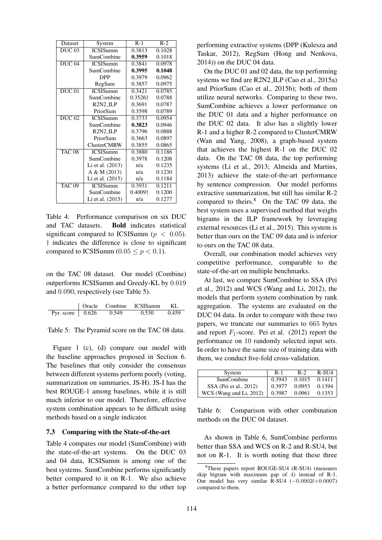| Dataset           | System             | $R-1$   | $R-2$  |
|-------------------|--------------------|---------|--------|
| $DUC$ 03          | <b>ICSISumm</b>    | 0.3813  | 0.1028 |
|                   | SumCombine         | 0.3959  | 0.1018 |
| $DUC$ 04          | <b>ICSISumm</b>    | 0.3841  | 0.0978 |
|                   | SumCombine         | 0.3995  | 0.1048 |
|                   | <b>DPP</b>         | 0.3979  | 0.0962 |
|                   | RegSum             | 0.3857  | 0.0975 |
| <b>DUC 01</b>     | <b>ICSISumm</b>    | 0.3421  | 0.0785 |
|                   | SumCombine         | 0.3526† | 0.0788 |
|                   | $R2N2$ -ILP        | 0.3691  | 0.0787 |
|                   | PriorSum           | 0.3598  | 0.0789 |
| <b>DUC 02</b>     | <b>ICSISumm</b>    | 0.3733  | 0.0954 |
|                   | SumCombine         | 0.3823  | 0.0946 |
|                   | $R2N2$ _ILP        | 0.3796  | 0.0888 |
|                   | PriorSum           | 0.3663  | 0.0897 |
|                   | <b>ClusterCMRW</b> | 0.3855  | 0.0865 |
| TAC <sub>08</sub> | <b>ICSISumm</b>    | 0.3880  | 0.1186 |
|                   | SumCombine         | 0.3978  | 0.1208 |
|                   | Li et al. (2013)   | n/a     | 0.1235 |
|                   | A & M (2013)       | n/a     | 0.1230 |
|                   | Li et al. (2015)   | n/a     | 0.1184 |
| <b>TAC 09</b>     | <b>ICSISumm</b>    | 0.3931  | 0.1211 |
|                   | SumCombine         | 0.4009† | 0.1200 |
|                   | Li et al. (2015)   | n/a     | 0.1277 |

Table 4: Performance comparison on six DUC and TAC datasets. Bold indicates statistical significant compared to ICSISumm ( $p < 0.05$ ). † indicates the difference is close to significant compared to ICSISumm (0.05  $\leq p < 0.1$ ).

on the TAC 08 dataset. Our model (Combine) outperforms ICSISumm and Greedy-KL by 0.019 and 0.090, respectively (see Table 5).

|                          |       | Oracle Combine ICSISumm | KL.   |
|--------------------------|-------|-------------------------|-------|
| Pyr. score $\vert$ 0.626 | 0.549 | 0.530                   | 0.459 |

Table 5: The Pyramid score on the TAC 08 data.

Figure 1 (c), (d) compare our model with the baseline approaches proposed in Section 6. The baselines that only consider the consensus between different systems perform poorly (voting, summarization on summaries, JS-H). JS-I has the best ROUGE-1 among baselines, while it is still much inferior to our model. Therefore, effective system combination appears to be difficult using methods based on a single indicator.

### 7.3 Comparing with the State-of-the-art

Table 4 compares our model (SumCombine) with the state-of-the-art systems. On the DUC 03 and 04 data, ICSISumm is among one of the best systems. SumCombine performs significantly better compared to it on R-1. We also achieve a better performance compared to the other top performing extractive systems (DPP (Kulesza and Taskar, 2012), RegSum (Hong and Nenkova, 2014)) on the DUC 04 data.

On the DUC 01 and 02 data, the top performing systems we find are R2N2 ILP (Cao et al., 2015a) and PriorSum (Cao et al., 2015b); both of them utilize neural networks. Comparing to these two, SumCombine achieves a lower performance on the DUC 01 data and a higher performance on the DUC 02 data. It also has a slightly lower R-1 and a higher R-2 compared to ClusterCMRW (Wan and Yang, 2008), a graph-based system that achieves the highest R-1 on the DUC 02 data. On the TAC 08 data, the top performing systems (Li et al., 2013; Almeida and Martins, 2013) achieve the state-of-the-art performance by sentence compression. Our model performs extractive summarization, but still has similar R-2 compared to theirs.<sup>8</sup> On the TAC 09 data, the best system uses a supervised method that weighs bigrams in the ILP framework by leveraging external resources (Li et al., 2015). This system is better than ours on the TAC 09 data and is inferior to ours on the TAC 08 data.

Overall, our combination model achieves very competitive performance, comparable to the state-of-the-art on multiple benchmarks.

At last, we compare SumCombine to SSA (Pei et al., 2012) and WCS (Wang and Li, 2012), the models that perform system combination by rank aggregation. The systems are evaluated on the DUC 04 data. In order to compare with these two papers, we truncate our summaries to 665 bytes and report  $F_1$ -score. Pei et al. (2012) report the performance on 10 randomly selected input sets. In order to have the same size of training data with them, we conduct five-fold cross-validation.

| System                  | $R-1$  | $R-2$  | $R-SU4$ |
|-------------------------|--------|--------|---------|
| SumCombine              | 0.3943 | 0.1015 | 0.1411  |
| SSA (Pei et al., 2012)  | 0.3977 | 0.0953 | 0.1394  |
| WCS (Wang and Li, 2012) | 0.3987 | 0.0961 | 0.1353  |

Table 6: Comparison with other combination methods on the DUC 04 dataset.

As shown in Table 6, SumCombine performs better than SSA and WCS on R-2 and R-SU4, but not on R-1. It is worth noting that these three

<sup>8</sup>These papers report ROUGE-SU4 (R-SU4) (measures skip bigram with maximum gap of 4) instead of R-1. Our model has very similar  $R-SU4$  (-0.0002/+0.0007) compared to them.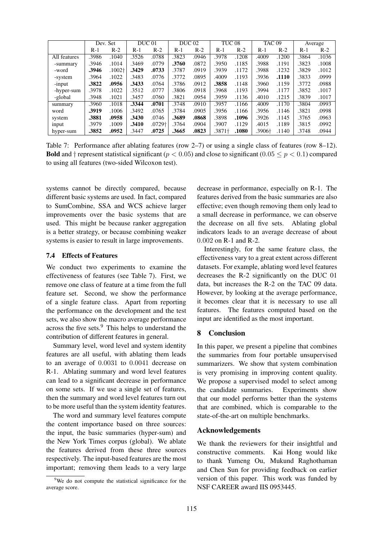|              | Dev. Set |          | DUC <sub>01</sub> |        | <b>DUC</b> 02 |       | TUC <sub>08</sub> |       | TAC <sub>09</sub> |       | Average |       |
|--------------|----------|----------|-------------------|--------|---------------|-------|-------------------|-------|-------------------|-------|---------|-------|
|              | $R-1$    | $R-2$    | $R-1$             | $R-2$  | R-1           | $R-2$ | R-1               | $R-2$ | $R-1$             | $R-2$ | R-1     | $R-2$ |
| All features | .3986    | .1040    | .3526             | .0788  | .3823         | .0946 | .3978             | .1208 | .4009             | .1200 | .3864   | .1036 |
| -summary     | .3946    | .1014    | .3469             | .0779  | .3760         | .0872 | .3950             | .1185 | .3988             | .1191 | .3823   | .1008 |
| -word        | .3946    | $.1002+$ | .3429             | .0733  | .3787         | .0919 | .3939             | .1172 | .3988             | .1232 | .3829   | .1012 |
| -system      | .3964    | .1022    | .3483             | .0776  | .3772         | .0895 | .4009             | .1193 | .3936             | .1110 | .3833   | .0999 |
| -input       | .3822    | .0956    | .3433             | .0764  | .3786         | .0912 | .3858             | .1148 | .3960             | .1159 | .3772   | .0988 |
| -hyper-sum   | .3978    | .1022    | .3512             | .0777  | .3806         | .0918 | .3968             | .1193 | .3994             | .1177 | .3852   | .1017 |
| -global      | .3948    | .1021    | .3457             | .0760  | .3821         | .0954 | .3959             | .1136 | .4010             | .1215 | .3839   | .1017 |
| summary      | .3960    | .1018    | .3344             | .0701  | .3748         | .0910 | .3957             | .1166 | .4009             | .1170 | .3804   | .0993 |
| word         | .3919    | .1006    | .3492             | .0765  | .3784         | .0905 | .3956             | .1166 | .3956             | .1146 | .3821   | .0998 |
| system       | .3881    | .0958    | .3430             | .0746  | .3689         | .0868 | .3898             | .1096 | .3926             | .1145 | .3765   | .0963 |
| input        | .3979    | .1009    | .3410             | .0729† | .3764         | .0904 | .3907             | .1129 | .4015             | .1189 | .3815   | .0992 |
| hyper-sum    | .3852    | .0952    | .3447             | .0725  | .3665         | .0823 | .3871†            | .1080 | .3906†            | .1140 | .3748   | .0944 |

Table 7: Performance after ablating features (row 2–7) or using a single class of features (row 8–12). **Bold** and  $\dagger$  represent statistical significant ( $p < 0.05$ ) and close to significant ( $0.05 \leq p < 0.1$ ) compared to using all features (two-sided Wilcoxon test).

systems cannot be directly compared, because different basic systems are used. In fact, compared to SumCombine, SSA and WCS achieve larger improvements over the basic systems that are used. This might be because ranker aggregation is a better strategy, or because combining weaker systems is easier to result in large improvements.

#### 7.4 Effects of Features

We conduct two experiments to examine the effectiveness of features (see Table 7). First, we remove one class of feature at a time from the full feature set. Second, we show the performance of a single feature class. Apart from reporting the performance on the development and the test sets, we also show the macro average performance across the five sets.<sup>9</sup> This helps to understand the contribution of different features in general.

Summary level, word level and system identity features are all useful, with ablating them leads to an average of 0.0031 to 0.0041 decrease on R-1. Ablating summary and word level features can lead to a significant decrease in performance on some sets. If we use a single set of features, then the summary and word level features turn out to be more useful than the system identity features.

The word and summary level features compute the content importance based on three sources: the input, the basic summaries (hyper-sum) and the New York Times corpus (global). We ablate the features derived from these three sources respectively. The input-based features are the most important; removing them leads to a very large

decrease in performance, especially on R-1. The features derived from the basic summaries are also effective; even though removing them only lead to a small decrease in performance, we can observe the decrease on all five sets. Ablating global indicators leads to an average decrease of about 0.002 on R-1 and R-2.

Interestingly, for the same feature class, the effectiveness vary to a great extent across different datasets. For example, ablating word level features decreases the R-2 significantly on the DUC 01 data, but increases the R-2 on the TAC 09 data. However, by looking at the average performance, it becomes clear that it is necessary to use all features. The features computed based on the input are identified as the most important.

### 8 Conclusion

In this paper, we present a pipeline that combines the summaries from four portable unsupervised summarizers. We show that system combination is very promising in improving content quality. We propose a supervised model to select among the candidate summaries. Experiments show that our model performs better than the systems that are combined, which is comparable to the state-of-the-art on multiple benchmarks.

### Acknowledgements

We thank the reviewers for their insightful and constructive comments. Kai Hong would like to thank Yumeng Ou, Mukund Raghothaman and Chen Sun for providing feedback on earlier version of this paper. This work was funded by NSF CAREER award IIS 0953445.

<sup>&</sup>lt;sup>9</sup>We do not compute the statistical significance for the average score.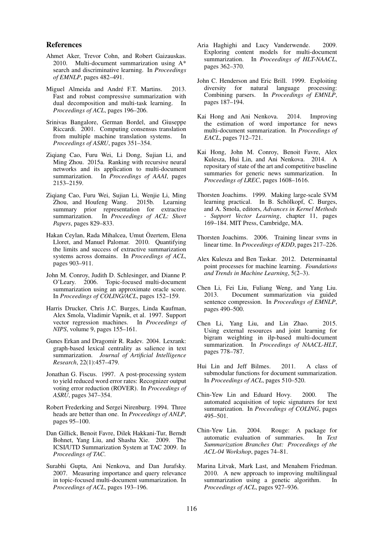#### References

- Ahmet Aker, Trevor Cohn, and Robert Gaizauskas. 2010. Multi-document summarization using A\* search and discriminative learning. In *Proceedings of EMNLP*, pages 482–491.
- Miguel Almeida and André F.T. Martins. 2013. Fast and robust compressive summarization with dual decomposition and multi-task learning. In *Proceedings of ACL*, pages 196–206.
- Srinivas Bangalore, German Bordel, and Giuseppe Riccardi. 2001. Computing consensus translation from multiple machine translation systems. In *Proceedings of ASRU*, pages 351–354.
- Ziqiang Cao, Furu Wei, Li Dong, Sujian Li, and Ming Zhou. 2015a. Ranking with recursive neural networks and its application to multi-document summarization. In *Proceedings of AAAI*, pages 2153–2159.
- Ziqiang Cao, Furu Wei, Sujian Li, Wenjie Li, Ming Zhou, and Houfeng Wang. 2015b. Learning summary prior representation for extractive summarization. In *Proceedings of ACL: Short Papers*, pages 829–833.
- Hakan Ceylan, Rada Mihalcea, Umut Özertem, Elena Lloret, and Manuel Palomar. 2010. Quantifying the limits and success of extractive summarization systems across domains. In *Proceedings of ACL*, pages 903–911.
- John M. Conroy, Judith D. Schlesinger, and Dianne P. O'Leary. 2006. Topic-focused multi-document summarization using an approximate oracle score. In *Proceedings of COLING/ACL*, pages 152–159.
- Harris Drucker, Chris J.C. Burges, Linda Kaufman, Alex Smola, Vladimir Vapnik, et al. 1997. Support vector regression machines. In *Proceedings of NIPS*, volume 9, pages 155–161.
- Gunes Erkan and Dragomir R. Radev. 2004. Lexrank: graph-based lexical centrality as salience in text summarization. *Journal of Artificial Intelligence Research*, 22(1):457–479.
- Jonathan G. Fiscus. 1997. A post-processing system to yield reduced word error rates: Recognizer output voting error reduction (ROVER). In *Proceedings of ASRU*, pages 347–354.
- Robert Frederking and Sergei Nirenburg. 1994. Three heads are better than one. In *Proceedings of ANLP*, pages 95–100.
- Dan Gillick, Benoit Favre, Dilek Hakkani-Tur, Berndt Bohnet, Yang Liu, and Shasha Xie. 2009. The ICSI/UTD Summarization System at TAC 2009. In *Proceedings of TAC*.
- Surabhi Gupta, Ani Nenkova, and Dan Jurafsky. 2007. Measuring importance and query relevance in topic-focused multi-document summarization. In *Proceedings of ACL*, pages 193–196.
- Aria Haghighi and Lucy Vanderwende. 2009. Exploring content models for multi-document summarization. In *Proceedings of HLT-NAACL*, pages 362–370.
- John C. Henderson and Eric Brill. 1999. Exploiting diversity for natural language processing: Combining parsers. In *Proceedings of EMNLP*, pages 187–194.
- Kai Hong and Ani Nenkova. 2014. Improving the estimation of word importance for news multi-document summarization. In *Proceedings of EACL*, pages 712–721.
- Kai Hong, John M. Conroy, Benoit Favre, Alex Kulesza, Hui Lin, and Ani Nenkova. 2014. A repositary of state of the art and competitive baseline summaries for generic news summarization. In *Proceedings of LREC*, pages 1608–1616.
- Thorsten Joachims. 1999. Making large-scale SVM learning practical. In B. Schölkopf, C. Burges, and A. Smola, editors, *Advances in Kernel Methods - Support Vector Learning*, chapter 11, pages 169–184. MIT Press, Cambridge, MA.
- Thorsten Joachims. 2006. Training linear svms in linear time. In *Proceedings of KDD*, pages 217–226.
- Alex Kulesza and Ben Taskar. 2012. Determinantal point processes for machine learning. *Foundations and Trends in Machine Learning*, 5(2–3).
- Chen Li, Fei Liu, Fuliang Weng, and Yang Liu. 2013. Document summarization via guided sentence compression. In *Proceedings of EMNLP*, pages 490–500.
- Chen Li, Yang Liu, and Lin Zhao. 2015. Using external resources and joint learning for bigram weighting in ilp-based multi-document summarization. In *Proceedings of NAACL-HLT*, pages 778–787.
- Hui Lin and Jeff Bilmes. 2011. A class of submodular functions for document summarization. In *Proceedings of ACL*, pages 510–520.
- Chin-Yew Lin and Eduard Hovy. 2000. The automated acquisition of topic signatures for text summarization. In *Proceedings of COLING*, pages 495–501.
- Chin-Yew Lin. 2004. Rouge: A package for automatic evaluation of summaries. In *Text Summarization Branches Out: Proceedings of the ACL-04 Workshop*, pages 74–81.
- Marina Litvak, Mark Last, and Menahem Friedman. 2010. A new approach to improving multilingual summarization using a genetic algorithm. In *Proceedings of ACL*, pages 927–936.